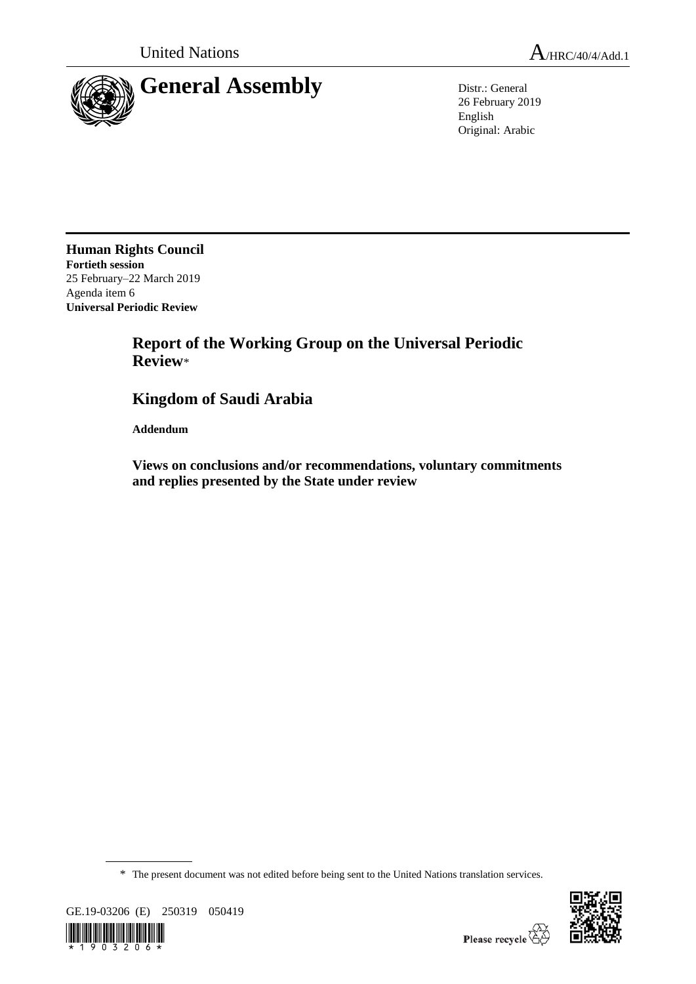



26 February 2019 English Original: Arabic

**Human Rights Council Fortieth session** 25 February–22 March 2019 Agenda item 6 **Universal Periodic Review**

# **Report of the Working Group on the Universal Periodic Review**\*

# **Kingdom of Saudi Arabia**

**Addendum**

**Views on conclusions and/or recommendations, voluntary commitments and replies presented by the State under review**

\* The present document was not edited before being sent to the United Nations translation services.



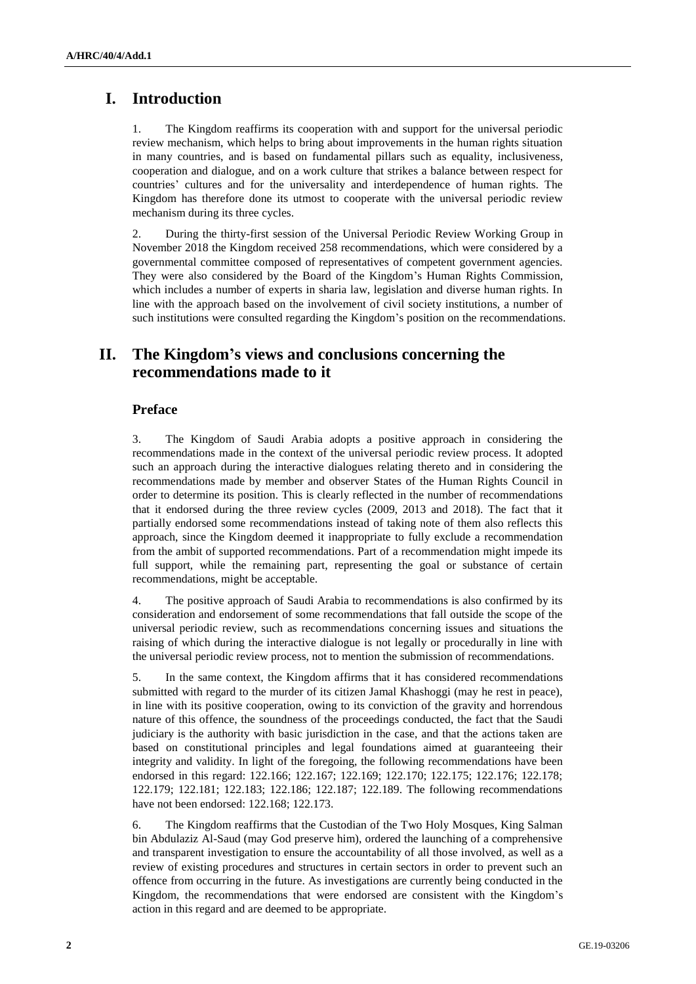# **I. Introduction**

1. The Kingdom reaffirms its cooperation with and support for the universal periodic review mechanism, which helps to bring about improvements in the human rights situation in many countries, and is based on fundamental pillars such as equality, inclusiveness, cooperation and dialogue, and on a work culture that strikes a balance between respect for countries' cultures and for the universality and interdependence of human rights. The Kingdom has therefore done its utmost to cooperate with the universal periodic review mechanism during its three cycles.

2. During the thirty-first session of the Universal Periodic Review Working Group in November 2018 the Kingdom received 258 recommendations, which were considered by a governmental committee composed of representatives of competent government agencies. They were also considered by the Board of the Kingdom's Human Rights Commission, which includes a number of experts in sharia law, legislation and diverse human rights. In line with the approach based on the involvement of civil society institutions, a number of such institutions were consulted regarding the Kingdom's position on the recommendations.

# **II. The Kingdom's views and conclusions concerning the recommendations made to it**

## **Preface**

3. The Kingdom of Saudi Arabia adopts a positive approach in considering the recommendations made in the context of the universal periodic review process. It adopted such an approach during the interactive dialogues relating thereto and in considering the recommendations made by member and observer States of the Human Rights Council in order to determine its position. This is clearly reflected in the number of recommendations that it endorsed during the three review cycles (2009, 2013 and 2018). The fact that it partially endorsed some recommendations instead of taking note of them also reflects this approach, since the Kingdom deemed it inappropriate to fully exclude a recommendation from the ambit of supported recommendations. Part of a recommendation might impede its full support, while the remaining part, representing the goal or substance of certain recommendations, might be acceptable.

4. The positive approach of Saudi Arabia to recommendations is also confirmed by its consideration and endorsement of some recommendations that fall outside the scope of the universal periodic review, such as recommendations concerning issues and situations the raising of which during the interactive dialogue is not legally or procedurally in line with the universal periodic review process, not to mention the submission of recommendations.

5. In the same context, the Kingdom affirms that it has considered recommendations submitted with regard to the murder of its citizen Jamal Khashoggi (may he rest in peace), in line with its positive cooperation, owing to its conviction of the gravity and horrendous nature of this offence, the soundness of the proceedings conducted, the fact that the Saudi judiciary is the authority with basic jurisdiction in the case, and that the actions taken are based on constitutional principles and legal foundations aimed at guaranteeing their integrity and validity. In light of the foregoing, the following recommendations have been endorsed in this regard: 122.166; 122.167; 122.169; 122.170; 122.175; 122.176; 122.178; 122.179; 122.181; 122.183; 122.186; 122.187; 122.189. The following recommendations have not been endorsed: 122.168; 122.173.

6. The Kingdom reaffirms that the Custodian of the Two Holy Mosques, King Salman bin Abdulaziz Al-Saud (may God preserve him), ordered the launching of a comprehensive and transparent investigation to ensure the accountability of all those involved, as well as a review of existing procedures and structures in certain sectors in order to prevent such an offence from occurring in the future. As investigations are currently being conducted in the Kingdom, the recommendations that were endorsed are consistent with the Kingdom's action in this regard and are deemed to be appropriate.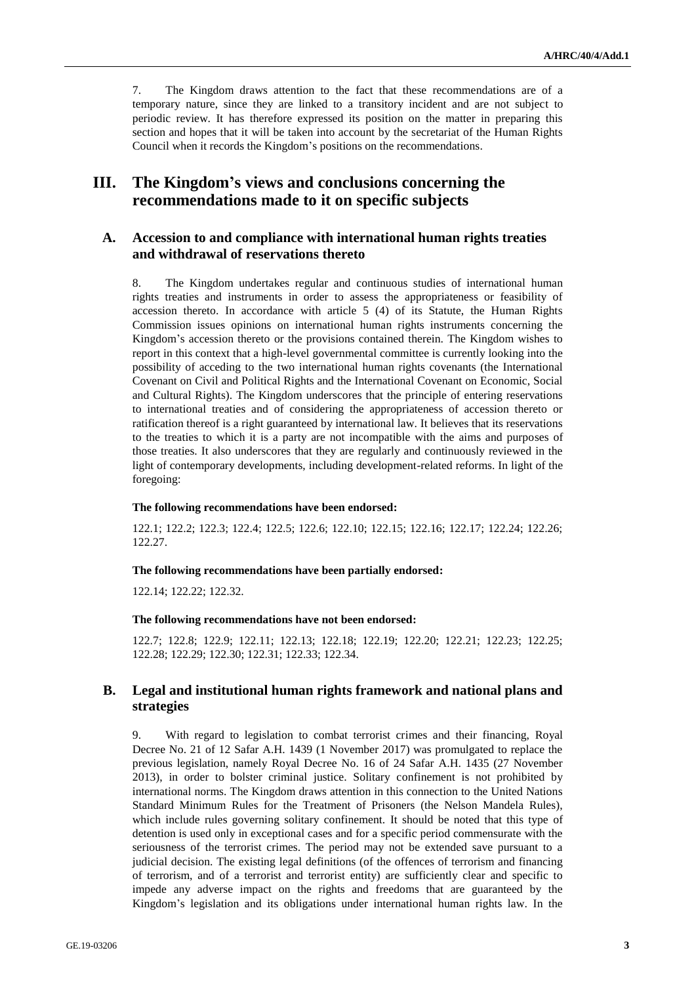7. The Kingdom draws attention to the fact that these recommendations are of a temporary nature, since they are linked to a transitory incident and are not subject to periodic review. It has therefore expressed its position on the matter in preparing this section and hopes that it will be taken into account by the secretariat of the Human Rights Council when it records the Kingdom's positions on the recommendations.

# **III. The Kingdom's views and conclusions concerning the recommendations made to it on specific subjects**

# **A. Accession to and compliance with international human rights treaties and withdrawal of reservations thereto**

8. The Kingdom undertakes regular and continuous studies of international human rights treaties and instruments in order to assess the appropriateness or feasibility of accession thereto. In accordance with article 5 (4) of its Statute, the Human Rights Commission issues opinions on international human rights instruments concerning the Kingdom's accession thereto or the provisions contained therein. The Kingdom wishes to report in this context that a high-level governmental committee is currently looking into the possibility of acceding to the two international human rights covenants (the International Covenant on Civil and Political Rights and the International Covenant on Economic, Social and Cultural Rights). The Kingdom underscores that the principle of entering reservations to international treaties and of considering the appropriateness of accession thereto or ratification thereof is a right guaranteed by international law. It believes that its reservations to the treaties to which it is a party are not incompatible with the aims and purposes of those treaties. It also underscores that they are regularly and continuously reviewed in the light of contemporary developments, including development-related reforms. In light of the foregoing:

#### **The following recommendations have been endorsed:**

122.1; 122.2; 122.3; 122.4; 122.5; 122.6; 122.10; 122.15; 122.16; 122.17; 122.24; 122.26; 122.27.

#### **The following recommendations have been partially endorsed:**

122.14; 122.22; 122.32.

#### **The following recommendations have not been endorsed:**

122.7; 122.8; 122.9; 122.11; 122.13; 122.18; 122.19; 122.20; 122.21; 122.23; 122.25; 122.28; 122.29; 122.30; 122.31; 122.33; 122.34.

## **B. Legal and institutional human rights framework and national plans and strategies**

9. With regard to legislation to combat terrorist crimes and their financing, Royal Decree No. 21 of 12 Safar A.H. 1439 (1 November 2017) was promulgated to replace the previous legislation, namely Royal Decree No. 16 of 24 Safar A.H. 1435 (27 November 2013), in order to bolster criminal justice. Solitary confinement is not prohibited by international norms. The Kingdom draws attention in this connection to the United Nations Standard Minimum Rules for the Treatment of Prisoners (the Nelson Mandela Rules), which include rules governing solitary confinement. It should be noted that this type of detention is used only in exceptional cases and for a specific period commensurate with the seriousness of the terrorist crimes. The period may not be extended save pursuant to a judicial decision. The existing legal definitions (of the offences of terrorism and financing of terrorism, and of a terrorist and terrorist entity) are sufficiently clear and specific to impede any adverse impact on the rights and freedoms that are guaranteed by the Kingdom's legislation and its obligations under international human rights law. In the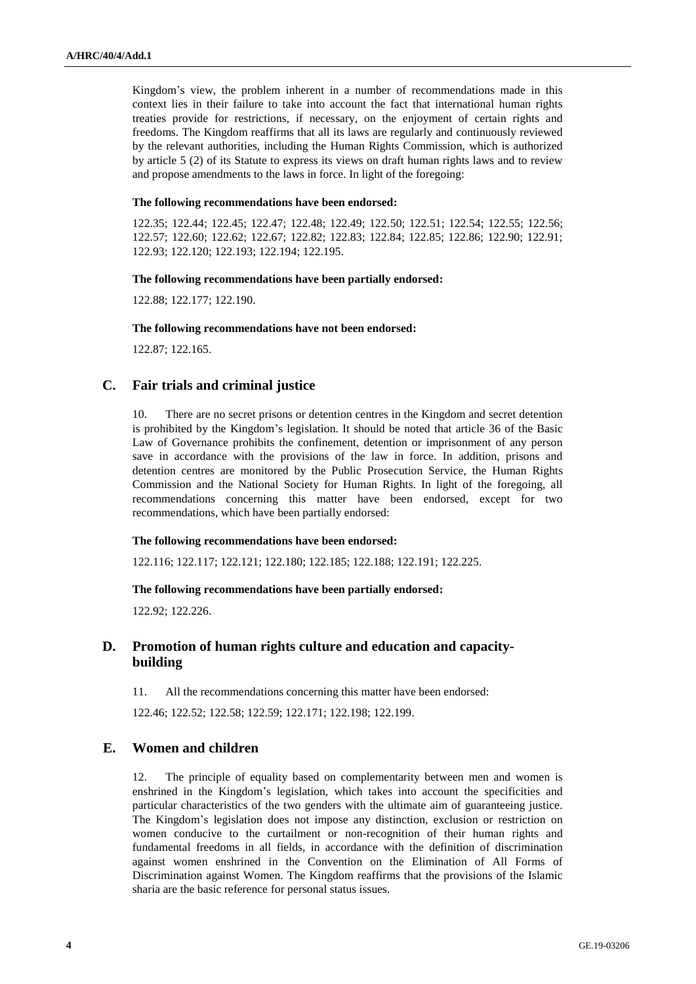Kingdom's view, the problem inherent in a number of recommendations made in this context lies in their failure to take into account the fact that international human rights treaties provide for restrictions, if necessary, on the enjoyment of certain rights and freedoms. The Kingdom reaffirms that all its laws are regularly and continuously reviewed by the relevant authorities, including the Human Rights Commission, which is authorized by article 5 (2) of its Statute to express its views on draft human rights laws and to review and propose amendments to the laws in force. In light of the foregoing:

### **The following recommendations have been endorsed:**

122.35; 122.44; 122.45; 122.47; 122.48; 122.49; 122.50; 122.51; 122.54; 122.55; 122.56; 122.57; 122.60; 122.62; 122.67; 122.82; 122.83; 122.84; 122.85; 122.86; 122.90; 122.91; 122.93; 122.120; 122.193; 122.194; 122.195.

#### **The following recommendations have been partially endorsed:**

122.88; 122.177; 122.190.

### **The following recommendations have not been endorsed:**

122.87; 122.165.

## **C. Fair trials and criminal justice**

10. There are no secret prisons or detention centres in the Kingdom and secret detention is prohibited by the Kingdom's legislation. It should be noted that article 36 of the Basic Law of Governance prohibits the confinement, detention or imprisonment of any person save in accordance with the provisions of the law in force. In addition, prisons and detention centres are monitored by the Public Prosecution Service, the Human Rights Commission and the National Society for Human Rights. In light of the foregoing, all recommendations concerning this matter have been endorsed, except for two recommendations, which have been partially endorsed:

#### **The following recommendations have been endorsed:**

122.116; 122.117; 122.121; 122.180; 122.185; 122.188; 122.191; 122.225.

#### **The following recommendations have been partially endorsed:**

122.92; 122.226.

# **D. Promotion of human rights culture and education and capacitybuilding**

11. All the recommendations concerning this matter have been endorsed:

122.46; 122.52; 122.58; 122.59; 122.171; 122.198; 122.199.

# **E. Women and children**

12. The principle of equality based on complementarity between men and women is enshrined in the Kingdom's legislation, which takes into account the specificities and particular characteristics of the two genders with the ultimate aim of guaranteeing justice. The Kingdom's legislation does not impose any distinction, exclusion or restriction on women conducive to the curtailment or non-recognition of their human rights and fundamental freedoms in all fields, in accordance with the definition of discrimination against women enshrined in the Convention on the Elimination of All Forms of Discrimination against Women. The Kingdom reaffirms that the provisions of the Islamic sharia are the basic reference for personal status issues.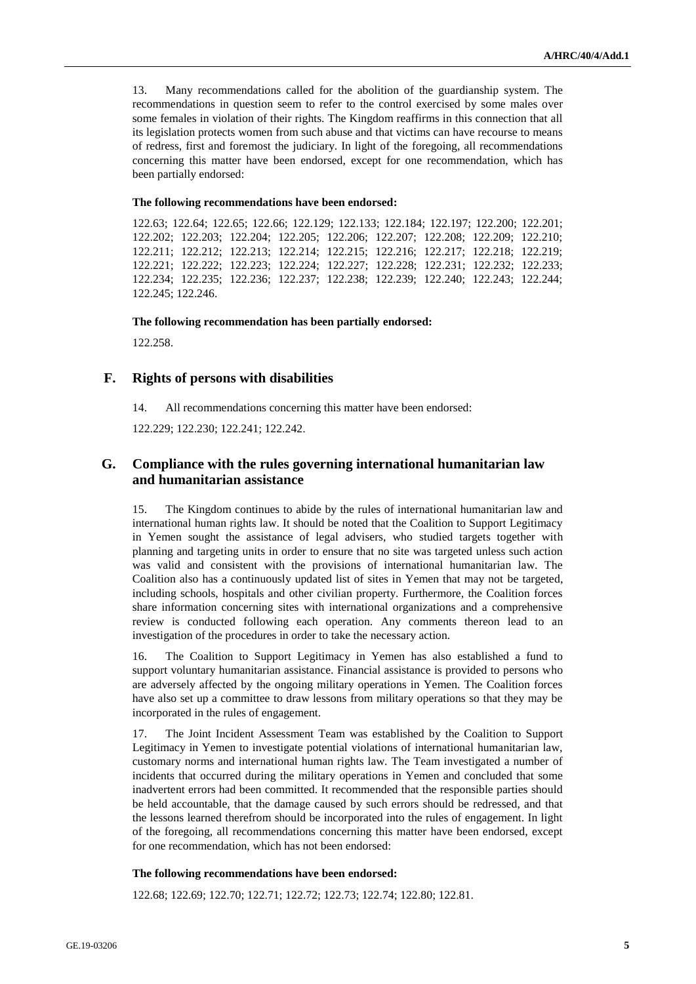13. Many recommendations called for the abolition of the guardianship system. The recommendations in question seem to refer to the control exercised by some males over some females in violation of their rights. The Kingdom reaffirms in this connection that all its legislation protects women from such abuse and that victims can have recourse to means of redress, first and foremost the judiciary. In light of the foregoing, all recommendations concerning this matter have been endorsed, except for one recommendation, which has been partially endorsed:

#### **The following recommendations have been endorsed:**

122.63; 122.64; 122.65; 122.66; 122.129; 122.133; 122.184; 122.197; 122.200; 122.201; 122.202; 122.203; 122.204; 122.205; 122.206; 122.207; 122.208; 122.209; 122.210; 122.211; 122.212; 122.213; 122.214; 122.215; 122.216; 122.217; 122.218; 122.219; 122.221; 122.222; 122.223; 122.224; 122.227; 122.228; 122.231; 122.232; 122.233; 122.234; 122.235; 122.236; 122.237; 122.238; 122.239; 122.240; 122.243; 122.244; 122.245; 122.246.

#### **The following recommendation has been partially endorsed:**

122.258.

### **F. Rights of persons with disabilities**

14. All recommendations concerning this matter have been endorsed:

122.229; 122.230; 122.241; 122.242.

## **G. Compliance with the rules governing international humanitarian law and humanitarian assistance**

15. The Kingdom continues to abide by the rules of international humanitarian law and international human rights law. It should be noted that the Coalition to Support Legitimacy in Yemen sought the assistance of legal advisers, who studied targets together with planning and targeting units in order to ensure that no site was targeted unless such action was valid and consistent with the provisions of international humanitarian law. The Coalition also has a continuously updated list of sites in Yemen that may not be targeted, including schools, hospitals and other civilian property. Furthermore, the Coalition forces share information concerning sites with international organizations and a comprehensive review is conducted following each operation. Any comments thereon lead to an investigation of the procedures in order to take the necessary action.

16. The Coalition to Support Legitimacy in Yemen has also established a fund to support voluntary humanitarian assistance. Financial assistance is provided to persons who are adversely affected by the ongoing military operations in Yemen. The Coalition forces have also set up a committee to draw lessons from military operations so that they may be incorporated in the rules of engagement.

17. The Joint Incident Assessment Team was established by the Coalition to Support Legitimacy in Yemen to investigate potential violations of international humanitarian law, customary norms and international human rights law. The Team investigated a number of incidents that occurred during the military operations in Yemen and concluded that some inadvertent errors had been committed. It recommended that the responsible parties should be held accountable, that the damage caused by such errors should be redressed, and that the lessons learned therefrom should be incorporated into the rules of engagement. In light of the foregoing, all recommendations concerning this matter have been endorsed, except for one recommendation, which has not been endorsed:

#### **The following recommendations have been endorsed:**

122.68; 122.69; 122.70; 122.71; 122.72; 122.73; 122.74; 122.80; 122.81.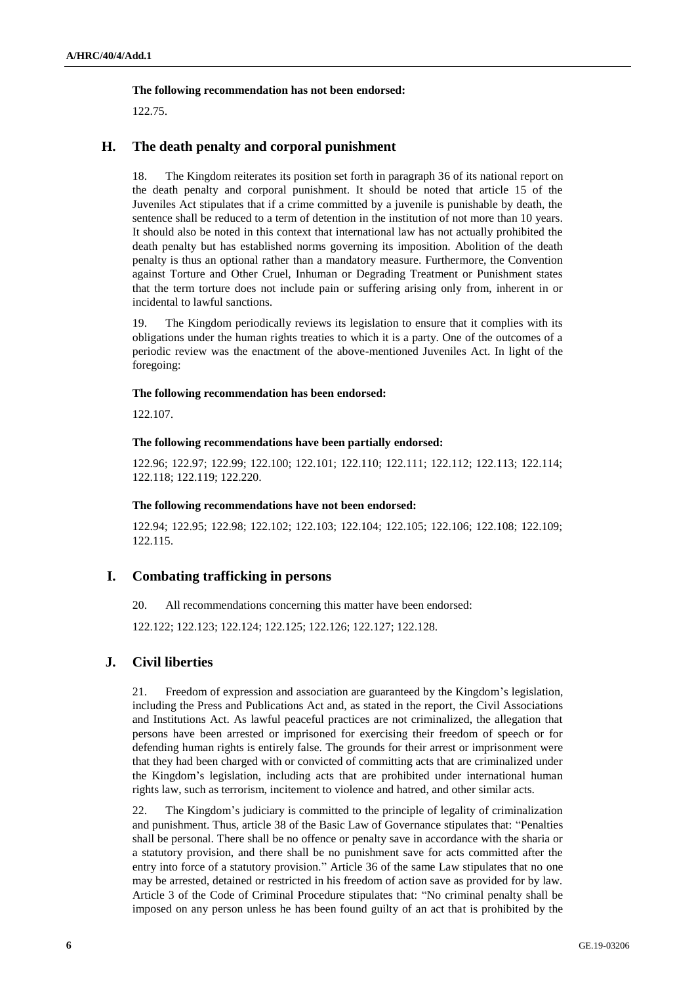### **The following recommendation has not been endorsed:**

122.75.

# **H. The death penalty and corporal punishment**

18. The Kingdom reiterates its position set forth in paragraph 36 of its national report on the death penalty and corporal punishment. It should be noted that article 15 of the Juveniles Act stipulates that if a crime committed by a juvenile is punishable by death, the sentence shall be reduced to a term of detention in the institution of not more than 10 years. It should also be noted in this context that international law has not actually prohibited the death penalty but has established norms governing its imposition. Abolition of the death penalty is thus an optional rather than a mandatory measure. Furthermore, the Convention against Torture and Other Cruel, Inhuman or Degrading Treatment or Punishment states that the term torture does not include pain or suffering arising only from, inherent in or incidental to lawful sanctions.

19. The Kingdom periodically reviews its legislation to ensure that it complies with its obligations under the human rights treaties to which it is a party. One of the outcomes of a periodic review was the enactment of the above-mentioned Juveniles Act. In light of the foregoing:

### **The following recommendation has been endorsed:**

122.107.

### **The following recommendations have been partially endorsed:**

122.96; 122.97; 122.99; 122.100; 122.101; 122.110; 122.111; 122.112; 122.113; 122.114; 122.118; 122.119; 122.220.

### **The following recommendations have not been endorsed:**

122.94; 122.95; 122.98; 122.102; 122.103; 122.104; 122.105; 122.106; 122.108; 122.109; 122.115.

## **I. Combating trafficking in persons**

20. All recommendations concerning this matter have been endorsed:

122.122; 122.123; 122.124; 122.125; 122.126; 122.127; 122.128.

# **J. Civil liberties**

21. Freedom of expression and association are guaranteed by the Kingdom's legislation, including the Press and Publications Act and, as stated in the report, the Civil Associations and Institutions Act. As lawful peaceful practices are not criminalized, the allegation that persons have been arrested or imprisoned for exercising their freedom of speech or for defending human rights is entirely false. The grounds for their arrest or imprisonment were that they had been charged with or convicted of committing acts that are criminalized under the Kingdom's legislation, including acts that are prohibited under international human rights law, such as terrorism, incitement to violence and hatred, and other similar acts.

22. The Kingdom's judiciary is committed to the principle of legality of criminalization and punishment. Thus, article 38 of the Basic Law of Governance stipulates that: "Penalties shall be personal. There shall be no offence or penalty save in accordance with the sharia or a statutory provision, and there shall be no punishment save for acts committed after the entry into force of a statutory provision." Article 36 of the same Law stipulates that no one may be arrested, detained or restricted in his freedom of action save as provided for by law. Article 3 of the Code of Criminal Procedure stipulates that: "No criminal penalty shall be imposed on any person unless he has been found guilty of an act that is prohibited by the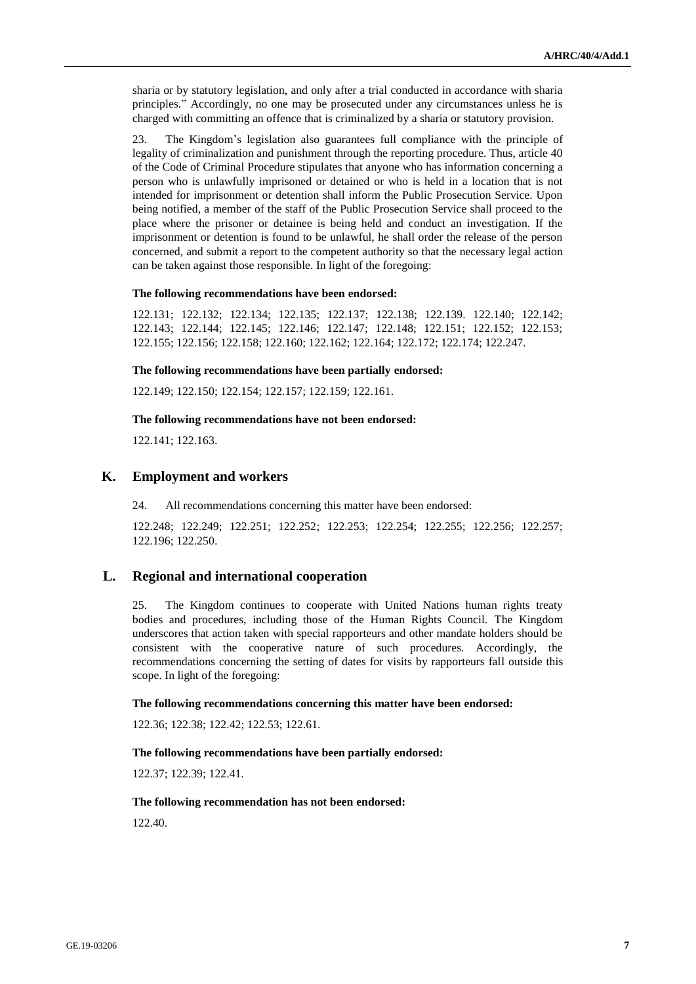sharia or by statutory legislation, and only after a trial conducted in accordance with sharia principles." Accordingly, no one may be prosecuted under any circumstances unless he is charged with committing an offence that is criminalized by a sharia or statutory provision.

23. The Kingdom's legislation also guarantees full compliance with the principle of legality of criminalization and punishment through the reporting procedure. Thus, article 40 of the Code of Criminal Procedure stipulates that anyone who has information concerning a person who is unlawfully imprisoned or detained or who is held in a location that is not intended for imprisonment or detention shall inform the Public Prosecution Service. Upon being notified, a member of the staff of the Public Prosecution Service shall proceed to the place where the prisoner or detainee is being held and conduct an investigation. If the imprisonment or detention is found to be unlawful, he shall order the release of the person concerned, and submit a report to the competent authority so that the necessary legal action can be taken against those responsible. In light of the foregoing:

#### **The following recommendations have been endorsed:**

122.131; 122.132; 122.134; 122.135; 122.137; 122.138; 122.139. 122.140; 122.142; 122.143; 122.144; 122.145; 122.146; 122.147; 122.148; 122.151; 122.152; 122.153; 122.155; 122.156; 122.158; 122.160; 122.162; 122.164; 122.172; 122.174; 122.247.

#### **The following recommendations have been partially endorsed:**

122.149; 122.150; 122.154; 122.157; 122.159; 122.161.

#### **The following recommendations have not been endorsed:**

122.141; 122.163.

### **K. Employment and workers**

24. All recommendations concerning this matter have been endorsed:

122.248; 122.249; 122.251; 122.252; 122.253; 122.254; 122.255; 122.256; 122.257; 122.196; 122.250.

### **L. Regional and international cooperation**

25. The Kingdom continues to cooperate with United Nations human rights treaty bodies and procedures, including those of the Human Rights Council. The Kingdom underscores that action taken with special rapporteurs and other mandate holders should be consistent with the cooperative nature of such procedures. Accordingly, the recommendations concerning the setting of dates for visits by rapporteurs fall outside this scope. In light of the foregoing:

#### **The following recommendations concerning this matter have been endorsed:**

122.36; 122.38; 122.42; 122.53; 122.61.

#### **The following recommendations have been partially endorsed:**

122.37; 122.39; 122.41.

#### **The following recommendation has not been endorsed:**

122.40.